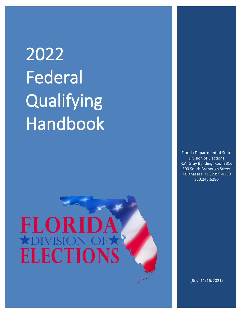## 2022 Federal **Qualifying** Handbook

# FLORI **ELECTIONS**

Florida Department of State Division of Elections R.A. Gray Building, Room 316 500 South Bronough Street Tallahassee, FL 32399-0250 850.245.6280

(Rev. 11/16/2021)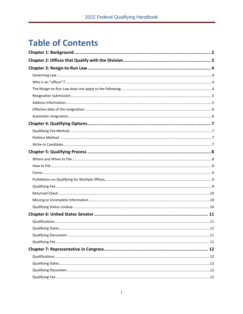### **Table of Contents**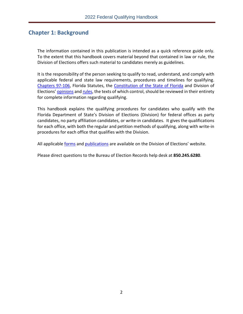#### <span id="page-3-0"></span>**Chapter 1: Background**

The information contained in this publication is intended as a quick reference guide only. To the extent that this handbook covers material beyond that contained in law or rule, the Division of Elections offers such material to candidates merely as guidelines.

It is the responsibility of the person seeking to qualify to read, understand, and comply with applicable federal and state law requirements, procedures and timelines for qualifying. [Chapters 97-106,](http://www.leg.state.fl.us/Statutes/index.cfm?App_mode=Display_Index&Title_Request=IX#TitleIX) Florida Statutes, the [Constitution of the State of Florida](http://www.leg.state.fl.us/Statutes/index.cfm?Mode=Constitution&Submenu=3&Tab=statutes&CFID=148394062&CFTOKEN=fd275544ceb78ef3-85BC545B-D6FC-C8E8-14D56840037CD12D) and Division of Elections' [opinions](https://dos.myflorida.com/elections/laws-rules/advisory-opinions/) an[d rules,](https://dos.myflorida.com/elections/laws-rules/rules/) the texts of which control, should be reviewed in their entirety for complete information regarding qualifying.

This handbook explains the qualifying procedures for candidates who qualify with the Florida Department of State's Division of Elections (Division) for federal offices as party candidates, no party affiliation candidates, or write-in candidates. It gives the qualifications for each office, with both the regular and petition methods of qualifying, along with write-in procedures for each office that qualifies with the Division.

All applicable [forms](https://dos.myflorida.com/elections/forms-publications/forms/) and [publications](https://dos.myflorida.com/elections/forms-publications/publications/) are available on the Division of Elections' website.

Please direct questions to the Bureau of Election Records help desk at **850.245.6280**.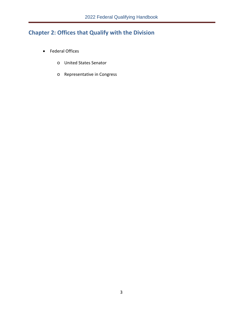#### <span id="page-4-0"></span>**Chapter 2: Offices that Qualify with the Division**

- Federal Offices
	- o United States Senator
	- o Representative in Congress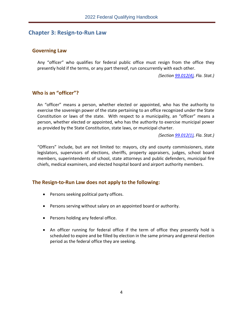#### <span id="page-5-0"></span>**Chapter 3: Resign-to-Run Law**

#### <span id="page-5-1"></span>**Governing Law**

Any "officer" who qualifies for federal public office must resign from the office they presently hold if the terms, or any part thereof, run concurrently with each other.

*(Section [99.012\(4\),](http://www.leg.state.fl.us/statutes/index.cfm?mode=View%20Statutes&SubMenu=1&App_mode=Display_Statute&Search_String=99.012&URL=0000-0099/0099/Sections/0099.012.html) Fla. Stat.)*

#### <span id="page-5-2"></span>**Who is an "officer"?**

An "officer" means a person, whether elected or appointed, who has the authority to exercise the sovereign power of the state pertaining to an office recognized under the State Constitution or laws of the state. With respect to a municipality, an "officer" means a person, whether elected or appointed, who has the authority to exercise municipal power as provided by the State Constitution, state laws, or municipal charter.

*(Section [99.012\(1\),](http://www.leg.state.fl.us/statutes/index.cfm?mode=View%20Statutes&SubMenu=1&App_mode=Display_Statute&Search_String=99.012&URL=0000-0099/0099/Sections/0099.012.html) Fla. Stat.)* 

"Officers" include, but are not limited to: mayors, city and county commissioners, state legislators, supervisors of elections, sheriffs, property appraisers, judges, school board members, superintendents of school, state attorneys and public defenders, municipal fire chiefs, medical examiners, and elected hospital board and airport authority members.

#### <span id="page-5-3"></span>**The Resign-to-Run Law does not apply to the following:**

- Persons seeking political party offices.
- Persons serving without salary on an appointed board or authority.
- Persons holding any federal office.
- An officer running for federal office if the term of office they presently hold is scheduled to expire and be filled by election in the same primary and general election period as the federal office they are seeking.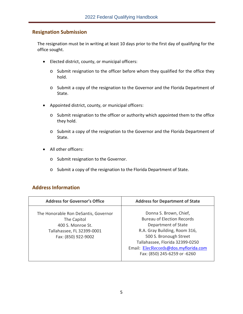#### <span id="page-6-0"></span>**Resignation Submission**

The resignation must be in writing at least 10 days prior to the first day of qualifying for the office sought.

- Elected district, county, or municipal officers:
	- o Submit resignation to the officer before whom they qualified for the office they hold.
	- o Submit a copy of the resignation to the Governor and the Florida Department of State.
- Appointed district, county, or municipal officers:
	- o Submit resignation to the officer or authority which appointed them to the office they hold.
	- o Submit a copy of the resignation to the Governor and the Florida Department of State.
- All other officers:
	- o Submit resignation to the Governor.
	- o Submit a copy of the resignation to the Florida Department of State.

#### <span id="page-6-1"></span>**Address Information**

| <b>Address for Governor's Office</b>                                                                                          | <b>Address for Department of State</b>                                                                                                                                                                                                                   |
|-------------------------------------------------------------------------------------------------------------------------------|----------------------------------------------------------------------------------------------------------------------------------------------------------------------------------------------------------------------------------------------------------|
| The Honorable Ron DeSantis, Governor<br>The Capitol<br>400 S. Monroe St.<br>Tallahassee, FL 32399-0001<br>Fax: (850) 922-9002 | Donna S. Brown, Chief,<br><b>Bureau of Election Records</b><br>Department of State<br>R.A. Gray Building, Room 316,<br>500 S. Bronough Street<br>Tallahassee, Florida 32399-0250<br>Email: ElecRecords@dos.myflorida.com<br>Fax: (850) 245-6259 or -6260 |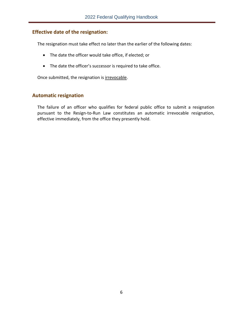#### <span id="page-7-0"></span>**Effective date of the resignation:**

The resignation must take effect no later than the earlier of the following dates:

- The date the officer would take office, if elected; or
- The date the officer's successor is required to take office.

Once submitted, the resignation is irrevocable.

#### <span id="page-7-1"></span>**Automatic resignation**

The failure of an officer who qualifies for federal public office to submit a resignation pursuant to the Resign-to-Run Law constitutes an automatic irrevocable resignation, effective immediately, from the office they presently hold.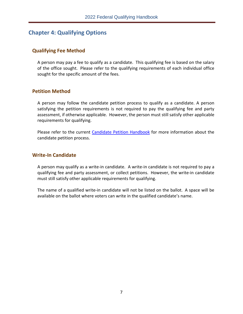#### <span id="page-8-0"></span>**Chapter 4: Qualifying Options**

#### <span id="page-8-1"></span>**Qualifying Fee Method**

A person may pay a fee to qualify as a candidate. This qualifying fee is based on the salary of the office sought. Please refer to the qualifying requirements of each individual office sought for the specific amount of the fees.

#### <span id="page-8-2"></span>**Petition Method**

A person may follow the candidate petition process to qualify as a candidate. A person satisfying the petition requirements is not required to pay the qualifying fee and party assessment, if otherwise applicable. However, the person must still satisfy other applicable requirements for qualifying.

Please refer to the current [Candidate Petition Handbook](https://dos.myflorida.com/elections/forms-publications/publications/) for more information about the candidate petition process.

#### <span id="page-8-3"></span>**Write-In Candidate**

A person may qualify as a write-in candidate. A write-in candidate is not required to pay a qualifying fee and party assessment, or collect petitions. However, the write-in candidate must still satisfy other applicable requirements for qualifying.

The name of a qualified write-in candidate will not be listed on the ballot. A space will be available on the ballot where voters can write in the qualified candidate's name.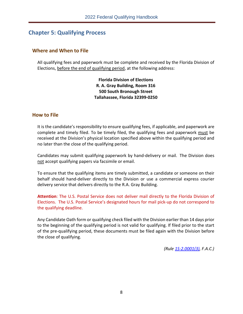#### <span id="page-9-0"></span>**Chapter 5: Qualifying Process**

#### <span id="page-9-1"></span>**Where and When to File**

All qualifying fees and paperwork must be complete and received by the Florida Division of Elections, before the end of qualifying period, at the following address:

> **Florida Division of Elections R. A. Gray Building, Room 316 500 South Bronough Street Tallahassee, Florida 32399-0250**

#### <span id="page-9-2"></span>**How to File**

It is the candidate's responsibility to ensure qualifying fees, if applicable, and paperwork are complete and timely filed. To be timely filed, the qualifying fees and paperwork must be received at the Division's physical location specified above within the qualifying period and no later than the close of the qualifying period.

Candidates may submit qualifying paperwork by hand-delivery or mail. The Division does not accept qualifying papers via facsimile or email.

To ensure that the qualifying items are timely submitted, a candidate or someone on their behalf should hand-deliver directly to the Division or use a commercial express courier delivery service that delivers directly to the R.A. Gray Building.

**Attention**: The U.S. Postal Service does not deliver mail directly to the Florida Division of Elections. The U.S. Postal Service's designated hours for mail pick-up do not correspond to the qualifying deadline.

Any Candidate Oath form or qualifying check filed with the Division earlier than 14 days prior to the beginning of the qualifying period is not valid for qualifying. If filed prior to the start of the pre-qualifying period, these documents must be filed again with the Division before the close of qualifying.

*(Rule [1S-2.0001\(3\),](https://www.flrules.org/gateway/RuleNo.asp?title=ELECTIONS&ID=1S-2.0001) F.A.C.)*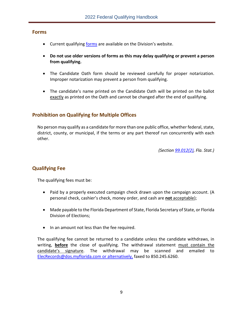#### <span id="page-10-0"></span>**Forms**

- Current qualifying [forms](https://dos.myflorida.com/elections/forms-publications/forms) are available on the Division's website.
- **Do not use older versions of forms as this may delay qualifying or prevent a person from qualifying.**
- The Candidate Oath form should be reviewed carefully for proper notarization. Improper notarization may prevent a person from qualifying.
- The candidate's name printed on the Candidate Oath will be printed on the ballot exactly as printed on the Oath and cannot be changed after the end of qualifying.

#### <span id="page-10-1"></span>**Prohibition on Qualifying for Multiple Offices**

No person may qualify as a candidate for more than one public office, whether federal, state, district, county, or municipal, if the terms or any part thereof run concurrently with each other.

*(Section [99.012\(2\),](http://www.leg.state.fl.us/statutes/index.cfm?mode=View%20Statutes&SubMenu=1&App_mode=Display_Statute&Search_String=99.012&URL=0000-0099/0099/Sections/0099.012.html) Fla. Stat.)*

#### <span id="page-10-2"></span>**Qualifying Fee**

The qualifying fees must be:

- Paid by a properly executed campaign check drawn upon the campaign account. (A personal check, cashier's check, money order, and cash are **not** acceptable);
- Made payable to the Florida Department of State, Florida Secretary of State, or Florida Division of Elections;
- In an amount not less than the fee required.

The qualifying fee cannot be returned to a candidate unless the candidate withdraws, in writing, **before** the close of qualifying. The withdrawal statement must contain the candidate's signature. The withdrawal may be scanned and emailed to [ElecRecords@dos.myflorida.com](mailto:elecrecords@dos.myflorida.com) or alternatively, faxed to 850.245.6260.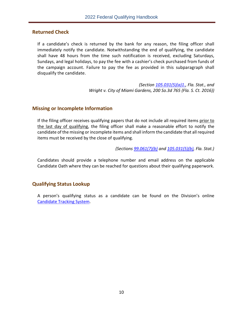#### <span id="page-11-0"></span>**Returned Check**

If a candidate's check is returned by the bank for any reason, the filing officer shall immediately notify the candidate. Notwithstanding the end of qualifying, the candidate shall have 48 hours from the time such notification is received, excluding Saturdays, Sundays, and legal holidays, to pay the fee with a cashier's check purchased from funds of the campaign account. Failure to pay the fee as provided in this subparagraph shall disqualify the candidate.

> *(Section [105.031\(5\)\(a\)1.](http://www.leg.state.fl.us/Statutes/index.cfm?App_mode=Display_Statute&Search_String=&URL=0100-0199/0105/Sections/0105.031.html), Fla. Stat., and Wright v. City of Miami Gardens, 200 So.3d 765 (Fla. S. Ct. 2016))*

#### <span id="page-11-1"></span>**Missing or Incomplete Information**

If the filing officer receives qualifying papers that do not include all required items prior to the last day of qualifying, the filing officer shall make a reasonable effort to notify the candidate of the missing or incomplete items and shall inform the candidate that all required items must be received by the close of qualifying.

*(Sections [99.061\(7\)\(b\)](http://www.leg.state.fl.us/Statutes/index.cfm?App_mode=Display_Statute&Search_String=&URL=0000-0099/0099/Sections/0099.061.html) and [105.031\(5\)\(b\),](http://www.leg.state.fl.us/Statutes/index.cfm?App_mode=Display_Statute&Search_String=&URL=0100-0199/0105/Sections/0105.031.html) Fla. Stat.)*

Candidates should provide a telephone number and email address on the applicable Candidate Oath where they can be reached for questions about their qualifying paperwork.

#### <span id="page-11-2"></span>**Qualifying Status Lookup**

A person's qualifying status as a candidate can be found on the Division's online Candidate [Tracking System.](https://dos.elections.myflorida.com/candidates/)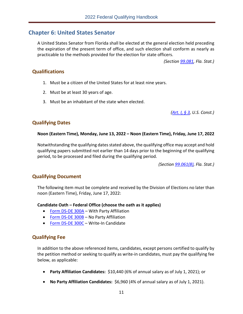#### <span id="page-12-0"></span>**Chapter 6: United States Senator**

A United States Senator from Florida shall be elected at the general election held preceding the expiration of the present term of office, and such election shall conform as nearly as practicable to the methods provided for the election for state officers.

*(Section [99.081,](http://www.leg.state.fl.us/Statutes/index.cfm?App_mode=Display_Statute&Search_String=&URL=0000-0099/0099/Sections/0099.081.html) Fla. Stat.)*

#### <span id="page-12-1"></span>**Qualifications**

- 1. Must be a citizen of the United States for at least nine years.
- 2. Must be at least 30 years of age.
- 3. Must be an inhabitant of the state when elected.

*[\(Art. I, § 3,](https://www.archives.gov/founding-docs/constitution-transcript#toc-section-3-) U.S. Const.)*

#### <span id="page-12-2"></span>**Qualifying Dates**

#### **Noon (Eastern Time), Monday, June 13, 2022 – Noon (Eastern Time), Friday, June 17, 2022**

Notwithstanding the qualifying dates stated above, the qualifying office may accept and hold qualifying papers submitted not earlier than 14 days prior to the beginning of the qualifying period, to be processed and filed during the qualifying period.

*(Section [99.061\(8\),](http://www.leg.state.fl.us/Statutes/index.cfm?App_mode=Display_Statute&Search_String=&URL=0000-0099/0099/Sections/0099.061.html) Fla. Stat.)*

#### <span id="page-12-3"></span>**Qualifying Document**

The following item must be complete and received by the Division of Elections no later than noon (Eastern Time), Friday, June 17, 2022:

#### **Candidate Oath – Federal Office (choose the oath as it applies)**

- [Form DS-DE 300A](https://files.floridados.gov/media/704464/dsde300a-fed-oath-pty-aff-may-2021.pdf) With Party Affiliation
- [Form DS-DE 300B](https://files.floridados.gov/media/704465/dsde300b-fed-oath-no-pty-aff-may-2021.pdf) No Party Affiliation
- [Form DS-DE 300C](https://files.floridados.gov/media/704466/dsde300c-fed-oath-write-in-may-2021.pdf) Write-In Candidate

#### <span id="page-12-4"></span>**Qualifying Fee**

In addition to the above referenced items, candidates, except persons certified to qualify by the petition method or seeking to qualify as write-in candidates, must pay the qualifying fee below, as applicable:

- **Party Affiliation Candidates:** \$10,440 (6% of annual salary as of July 1, 2021); or
- **No Party Affiliation Candidates:** \$6,960 (4% of annual salary as of July 1, 2021).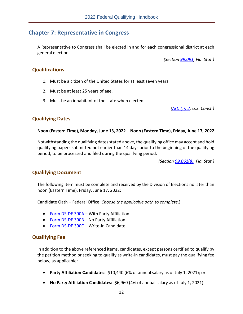#### <span id="page-13-0"></span>**Chapter 7: Representative in Congress**

A Representative to Congress shall be elected in and for each congressional district at each general election.

*(Section [99.091,](http://www.leg.state.fl.us/Statutes/index.cfm?App_mode=Display_Statute&Search_String=&URL=0000-0099/0099/Sections/0099.091.html) Fla. Stat.)*

#### <span id="page-13-1"></span>**Qualifications**

- 1. Must be a citizen of the United States for at least seven years.
- 2. Must be at least 25 years of age.
- 3. Must be an inhabitant of the state when elected.

*[\(Art. I, § 2,](https://www.archives.gov/founding-docs/constitution-transcript#toc-section-2-) U.S. Const.)*

#### <span id="page-13-2"></span>**Qualifying Dates**

#### **Noon (Eastern Time), Monday, June 13, 2022 – Noon (Eastern Time), Friday, June 17, 2022**

Notwithstanding the qualifying dates stated above, the qualifying office may accept and hold qualifying papers submitted not earlier than 14 days prior to the beginning of the qualifying period, to be processed and filed during the qualifying period.

*(Section [99.061\(8\),](http://www.leg.state.fl.us/Statutes/index.cfm?App_mode=Display_Statute&Search_String=&URL=0000-0099/0099/Sections/0099.061.html) Fla. Stat.)*

#### <span id="page-13-3"></span>**Qualifying Document**

The following item must be complete and received by the Division of Elections no later than noon (Eastern Time), Friday, June 17, 2022:

Candidate Oath – Federal Office *Choose the applicable oath to complete*.)

- [Form DS-DE 300A](https://files.floridados.gov/media/704464/dsde300a-fed-oath-pty-aff-may-2021.pdf) With Party Affiliation
- [Form DS-DE 300B](https://files.floridados.gov/media/704465/dsde300b-fed-oath-no-pty-aff-may-2021.pdf) No Party Affiliation
- [Form DS-DE 300C](https://files.floridados.gov/media/704466/dsde300c-fed-oath-write-in-may-2021.pdf) Write-In Candidate

#### <span id="page-13-4"></span>**Qualifying Fee**

In addition to the above referenced items, candidates, except persons certified to qualify by the petition method or seeking to qualify as write-in candidates, must pay the qualifying fee below, as applicable:

- **Party Affiliation Candidates:** \$10,440 (6% of annual salary as of July 1, 2021); or
- **No Party Affiliation Candidates:** \$6,960 (4% of annual salary as of July 1, 2021).